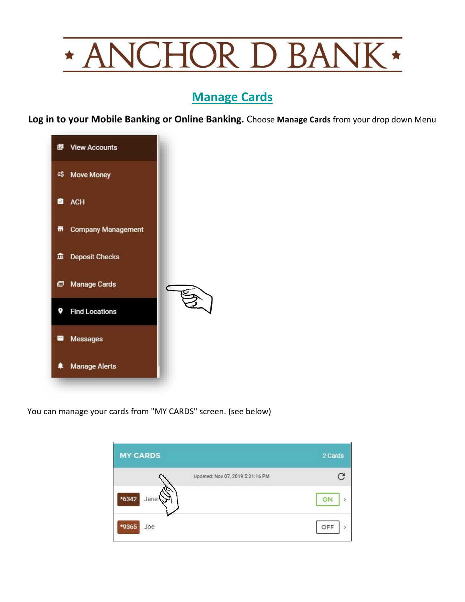## **VCHOR D BANI**  $\star$  $\star$  A

## **Manage Cards**

**Log in to your Mobile Banking or Online Banking.** Choose **Manage Cards** from your drop down Menu



You can manage your cards from "MY CARDS" screen. (see below)

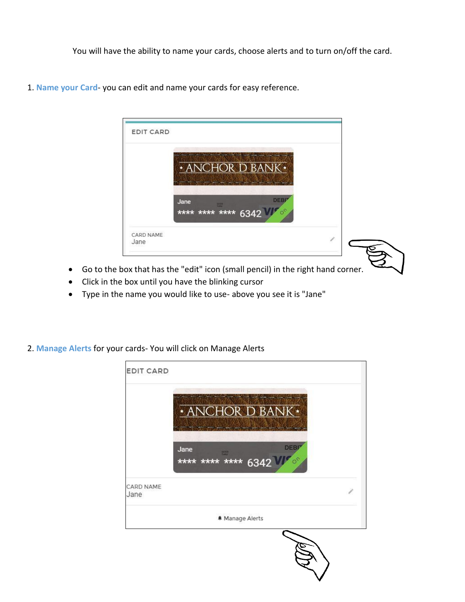You will have the ability to name your cards, choose alerts and to turn on/off the card.



1. **Name your Card**- you can edit and name your cards for easy reference.

- Go to the box that has the "edit" icon (small pencil) in the right hand corner.
- Click in the box until you have the blinking cursor
- Type in the name you would like to use- above you see it is "Jane"
- 2. **Manage Alerts** for your cards- You will click on Manage Alerts

| <b>EDIT CARD</b>  |                                                       |  |
|-------------------|-------------------------------------------------------|--|
|                   | <b>* ANCHOR D BANK *</b>                              |  |
|                   | <b>DEBI</b><br>Jane<br>SOON<br>**** **** **** 6342 VI |  |
| CARD NAME<br>Jane |                                                       |  |
|                   | <b>A</b> Manage Alerts                                |  |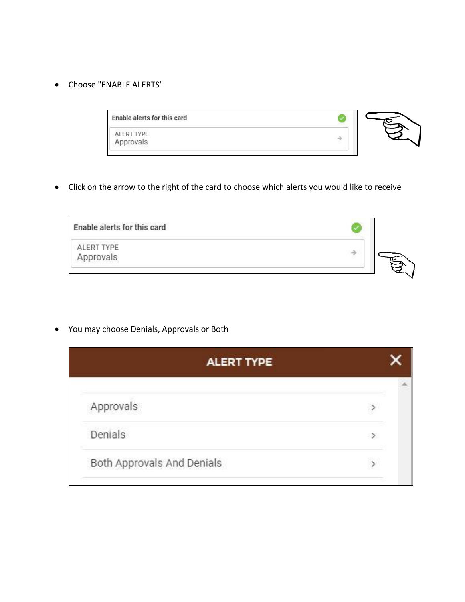• Choose "ENABLE ALERTS"

• Click on the arrow to the right of the card to choose which alerts you would like to receive

| Enable alerts for this card    |  |
|--------------------------------|--|
| <b>ALERT TYPE</b><br>Approvals |  |
|                                |  |

• You may choose Denials, Approvals or Both

| <b>ALERT TYPE</b>          |        |  |
|----------------------------|--------|--|
|                            |        |  |
| Approvals                  |        |  |
| Denials                    | $\geq$ |  |
| Both Approvals And Denials |        |  |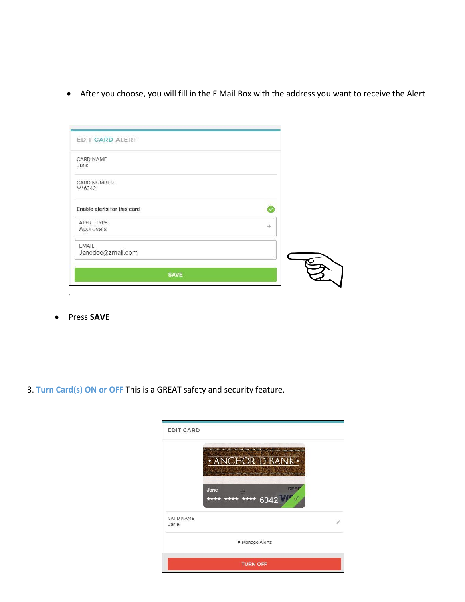• After you choose, you will fill in the E Mail Box with the address you want to receive the Alert

| EDIT CARD ALERT                   |   |  |
|-----------------------------------|---|--|
| CARD NAME<br>Jane                 |   |  |
| <b>CARD NUMBER</b><br>$***6342$   |   |  |
| Enable alerts for this card       |   |  |
| ALERT TYPE<br>Approvals           | 斗 |  |
| <b>EMAIL</b><br>Janedoe@zmail.com |   |  |
| <b>SAVE</b>                       |   |  |

• Press **SAVE**

.

3. **Turn Card(s) ON or OFF** This is a GREAT safety and security feature.

| <b>EDIT CARD</b>  |                                       |                          |
|-------------------|---------------------------------------|--------------------------|
|                   | NCHOR D BANK ·                        |                          |
|                   | Jane<br>soca<br>**** **** **** 6342 W | <b>DEBI</b><br><b>OC</b> |
| CARD NAME<br>Jane |                                       |                          |
|                   | <b>A</b> Manage Alerts                |                          |
|                   | <b>TURN OFF</b>                       |                          |